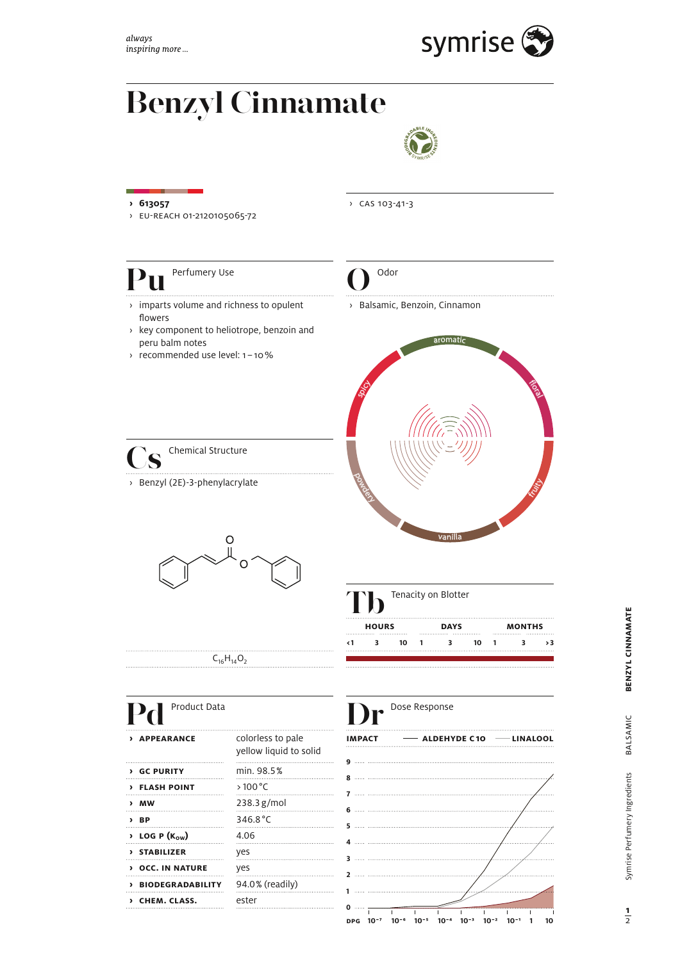

# **Benzyl Cinnamate**



### **› 613057** › cas 103-41-3› eu-reach 01-2120105065-72 **Pu** Perfumery Use **O** Odor › Balsamic, Benzoin, Cinnamon › imparts volume and richness to opulent flowers › key component to heliotrope, benzoin and peru balm notes aromatic › recommended use level: 1 – 10 %  $\frac{1}{2}$ **spicy S** Chemical Structure powdery. › Benzyl (2E)-3-phenylacrylate **fruits** vanilla O **T**enacity on Blotter **hours days months < 1 3 10 1 3 10 1 3 > 3**  $C_{16}H_{14}O_2$ Pd Product Data **Dr** Dose Response **impact**  $\longrightarrow$  **ALDEHYDE C10**  $\longrightarrow$  LINALOOL **APPEARANCE** colorless to pale yellow liquid to solid **9 › gc purity** min. 98.5 % **8 › flash point** > 100 °C **7 › mw** 238.3 g/mol **6 BP** 346.8 °C **5**

 $\sqrt{4.06}$  **P (K<sub>ow</sub>)** 4.06 **› stabilizer** yes **› occ. in nature** yes

**› chem. class.** ester

**› biodegradability** 94.0 % (readily)

**d**<sub>1</sub>**0**<sup>-</sup>**10**<sup>-</sup>**<sup>6</sup> <b>10**<sup>-5</sup> **10**<sup>-4</sup> **10**<sup>-3</sup> **10**<sup>-2</sup> **10**<sup>-1</sup> **1 10** 

BENZYL CINNAMATE **benzyl cinnamate** BALSAMIC balsamic Symrise Perfumery Ingredients Symrise Perfumery Ingredients